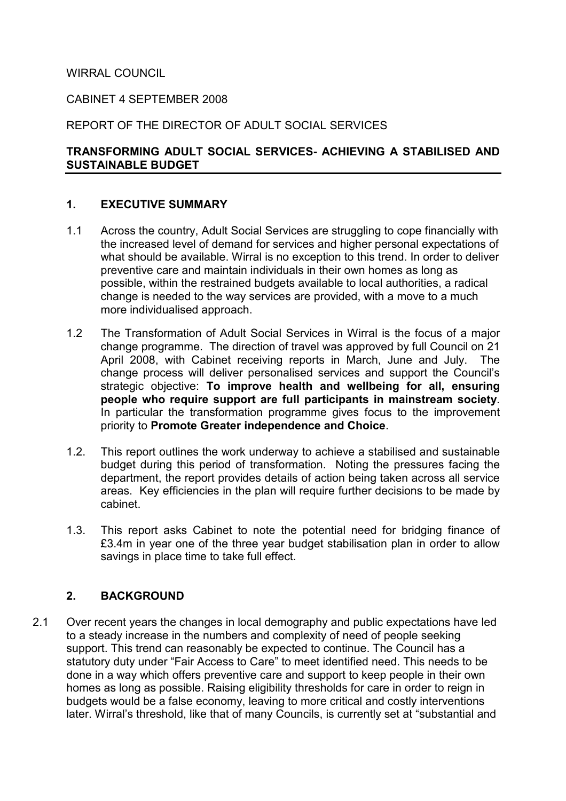## WIRRAL COUNCIL

#### CABINET 4 SEPTEMBER 2008

### REPORT OF THE DIRECTOR OF ADULT SOCIAL SERVICES

### TRANSFORMING ADULT SOCIAL SERVICES- ACHIEVING A STABILISED AND SUSTAINABLE BUDGET

### 1. EXECUTIVE SUMMARY

- 1.1 Across the country, Adult Social Services are struggling to cope financially with the increased level of demand for services and higher personal expectations of what should be available. Wirral is no exception to this trend. In order to deliver preventive care and maintain individuals in their own homes as long as possible, within the restrained budgets available to local authorities, a radical change is needed to the way services are provided, with a move to a much more individualised approach.
- 1.2 The Transformation of Adult Social Services in Wirral is the focus of a major change programme. The direction of travel was approved by full Council on 21 April 2008, with Cabinet receiving reports in March, June and July. The change process will deliver personalised services and support the Council's strategic objective: To improve health and wellbeing for all, ensuring people who require support are full participants in mainstream society. In particular the transformation programme gives focus to the improvement priority to Promote Greater independence and Choice.
- 1.2. This report outlines the work underway to achieve a stabilised and sustainable budget during this period of transformation. Noting the pressures facing the department, the report provides details of action being taken across all service areas. Key efficiencies in the plan will require further decisions to be made by cabinet.
- 1.3. This report asks Cabinet to note the potential need for bridging finance of £3.4m in year one of the three year budget stabilisation plan in order to allow savings in place time to take full effect.

### 2. BACKGROUND

2.1 Over recent years the changes in local demography and public expectations have led to a steady increase in the numbers and complexity of need of people seeking support. This trend can reasonably be expected to continue. The Council has a statutory duty under "Fair Access to Care" to meet identified need. This needs to be done in a way which offers preventive care and support to keep people in their own homes as long as possible. Raising eligibility thresholds for care in order to reign in budgets would be a false economy, leaving to more critical and costly interventions later. Wirral's threshold, like that of many Councils, is currently set at "substantial and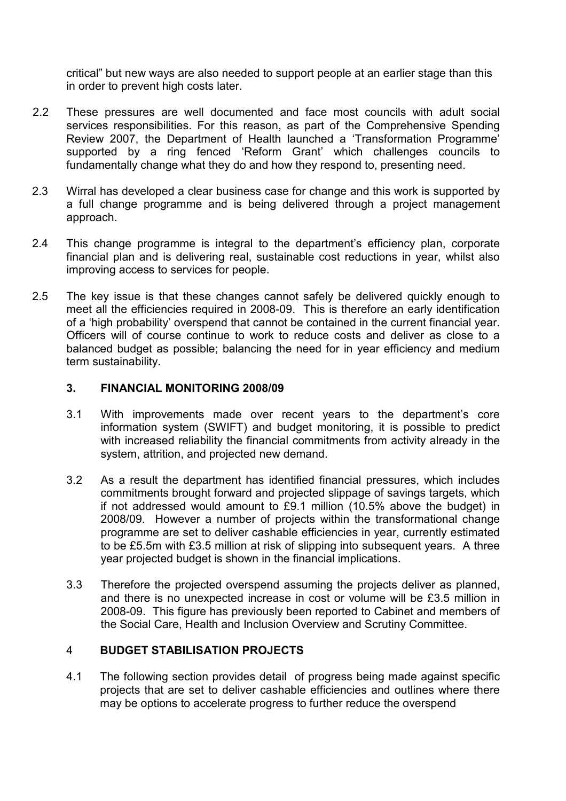critical" but new ways are also needed to support people at an earlier stage than this in order to prevent high costs later.

- 2.2 These pressures are well documented and face most councils with adult social services responsibilities. For this reason, as part of the Comprehensive Spending Review 2007, the Department of Health launched a 'Transformation Programme' supported by a ring fenced 'Reform Grant' which challenges councils to fundamentally change what they do and how they respond to, presenting need.
- 2.3 Wirral has developed a clear business case for change and this work is supported by a full change programme and is being delivered through a project management approach.
- 2.4 This change programme is integral to the department's efficiency plan, corporate financial plan and is delivering real, sustainable cost reductions in year, whilst also improving access to services for people.
- 2.5 The key issue is that these changes cannot safely be delivered quickly enough to meet all the efficiencies required in 2008-09. This is therefore an early identification of a 'high probability' overspend that cannot be contained in the current financial year. Officers will of course continue to work to reduce costs and deliver as close to a balanced budget as possible; balancing the need for in year efficiency and medium term sustainability.

### 3. FINANCIAL MONITORING 2008/09

- 3.1 With improvements made over recent years to the department's core information system (SWIFT) and budget monitoring, it is possible to predict with increased reliability the financial commitments from activity already in the system, attrition, and projected new demand.
- 3.2 As a result the department has identified financial pressures, which includes commitments brought forward and projected slippage of savings targets, which if not addressed would amount to £9.1 million (10.5% above the budget) in 2008/09. However a number of projects within the transformational change programme are set to deliver cashable efficiencies in year, currently estimated to be £5.5m with £3.5 million at risk of slipping into subsequent years. A three year projected budget is shown in the financial implications.
- 3.3 Therefore the projected overspend assuming the projects deliver as planned, and there is no unexpected increase in cost or volume will be £3.5 million in 2008-09. This figure has previously been reported to Cabinet and members of the Social Care, Health and Inclusion Overview and Scrutiny Committee.

# 4 BUDGET STABILISATION PROJECTS

4.1 The following section provides detail of progress being made against specific projects that are set to deliver cashable efficiencies and outlines where there may be options to accelerate progress to further reduce the overspend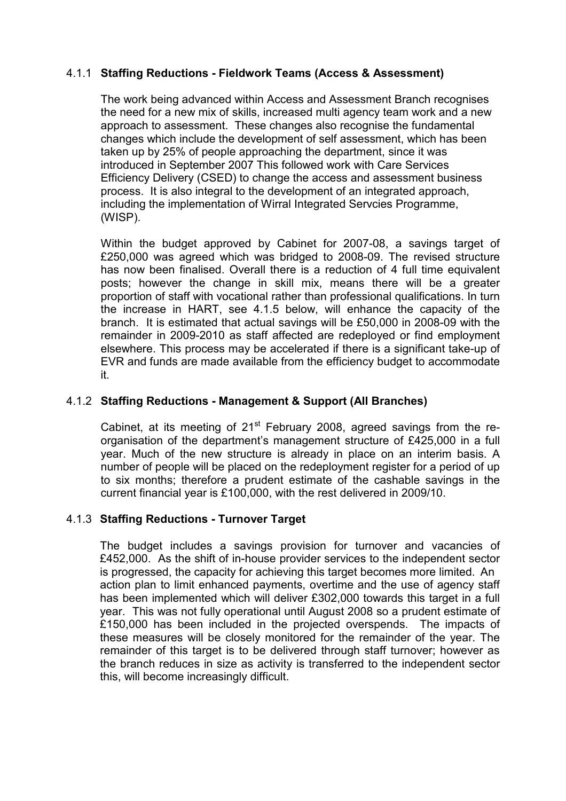# 4.1.1 Staffing Reductions - Fieldwork Teams (Access & Assessment)

The work being advanced within Access and Assessment Branch recognises the need for a new mix of skills, increased multi agency team work and a new approach to assessment. These changes also recognise the fundamental changes which include the development of self assessment, which has been taken up by 25% of people approaching the department, since it was introduced in September 2007 This followed work with Care Services Efficiency Delivery (CSED) to change the access and assessment business process. It is also integral to the development of an integrated approach, including the implementation of Wirral Integrated Servcies Programme, (WISP).

Within the budget approved by Cabinet for 2007-08, a savings target of £250,000 was agreed which was bridged to 2008-09. The revised structure has now been finalised. Overall there is a reduction of 4 full time equivalent posts; however the change in skill mix, means there will be a greater proportion of staff with vocational rather than professional qualifications. In turn the increase in HART, see 4.1.5 below, will enhance the capacity of the branch. It is estimated that actual savings will be £50,000 in 2008-09 with the remainder in 2009-2010 as staff affected are redeployed or find employment elsewhere. This process may be accelerated if there is a significant take-up of EVR and funds are made available from the efficiency budget to accommodate it.

## 4.1.2 Staffing Reductions - Management & Support (All Branches)

Cabinet, at its meeting of  $21<sup>st</sup>$  February 2008, agreed savings from the reorganisation of the department's management structure of £425,000 in a full year. Much of the new structure is already in place on an interim basis. A number of people will be placed on the redeployment register for a period of up to six months; therefore a prudent estimate of the cashable savings in the current financial year is £100,000, with the rest delivered in 2009/10.

### 4.1.3 Staffing Reductions - Turnover Target

 The budget includes a savings provision for turnover and vacancies of £452,000. As the shift of in-house provider services to the independent sector is progressed, the capacity for achieving this target becomes more limited. An action plan to limit enhanced payments, overtime and the use of agency staff has been implemented which will deliver £302,000 towards this target in a full year. This was not fully operational until August 2008 so a prudent estimate of £150,000 has been included in the projected overspends. The impacts of these measures will be closely monitored for the remainder of the year. The remainder of this target is to be delivered through staff turnover; however as the branch reduces in size as activity is transferred to the independent sector this, will become increasingly difficult.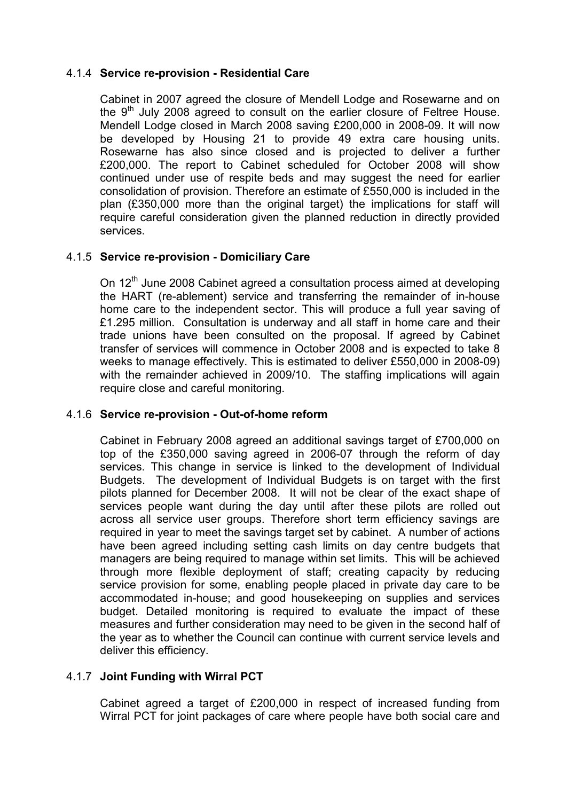## 4.1.4 Service re-provision - Residential Care

 Cabinet in 2007 agreed the closure of Mendell Lodge and Rosewarne and on the  $9<sup>th</sup>$  July 2008 agreed to consult on the earlier closure of Feltree House. Mendell Lodge closed in March 2008 saving £200,000 in 2008-09. It will now be developed by Housing 21 to provide 49 extra care housing units. Rosewarne has also since closed and is projected to deliver a further £200,000. The report to Cabinet scheduled for October 2008 will show continued under use of respite beds and may suggest the need for earlier consolidation of provision. Therefore an estimate of £550,000 is included in the plan (£350,000 more than the original target) the implications for staff will require careful consideration given the planned reduction in directly provided services.

## 4.1.5 Service re-provision - Domiciliary Care

On 12<sup>th</sup> June 2008 Cabinet agreed a consultation process aimed at developing the HART (re-ablement) service and transferring the remainder of in-house home care to the independent sector. This will produce a full year saving of £1.295 million. Consultation is underway and all staff in home care and their trade unions have been consulted on the proposal. If agreed by Cabinet transfer of services will commence in October 2008 and is expected to take 8 weeks to manage effectively. This is estimated to deliver £550,000 in 2008-09) with the remainder achieved in 2009/10. The staffing implications will again require close and careful monitoring.

### 4.1.6 Service re-provision - Out-of-home reform

 Cabinet in February 2008 agreed an additional savings target of £700,000 on top of the £350,000 saving agreed in 2006-07 through the reform of day services. This change in service is linked to the development of Individual Budgets. The development of Individual Budgets is on target with the first pilots planned for December 2008. It will not be clear of the exact shape of services people want during the day until after these pilots are rolled out across all service user groups. Therefore short term efficiency savings are required in year to meet the savings target set by cabinet. A number of actions have been agreed including setting cash limits on day centre budgets that managers are being required to manage within set limits. This will be achieved through more flexible deployment of staff; creating capacity by reducing service provision for some, enabling people placed in private day care to be accommodated in-house; and good housekeeping on supplies and services budget. Detailed monitoring is required to evaluate the impact of these measures and further consideration may need to be given in the second half of the year as to whether the Council can continue with current service levels and deliver this efficiency.

# 4.1.7 Joint Funding with Wirral PCT

 Cabinet agreed a target of £200,000 in respect of increased funding from Wirral PCT for joint packages of care where people have both social care and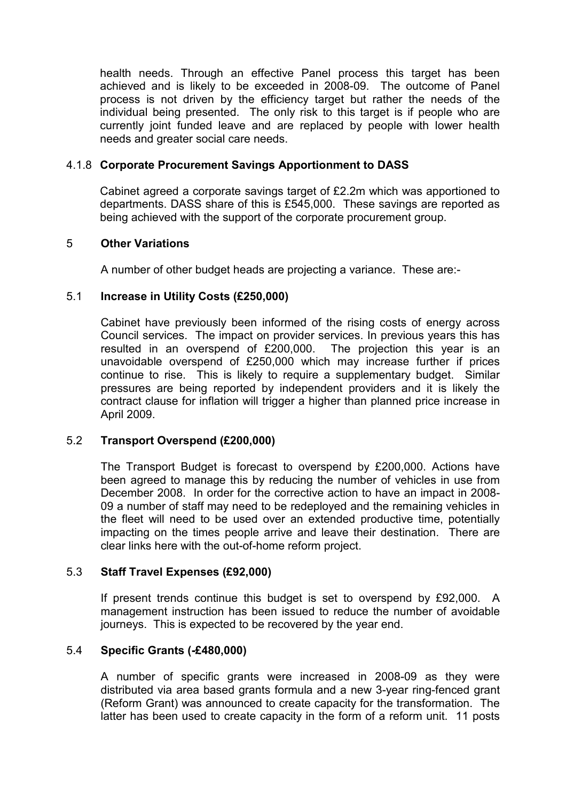health needs. Through an effective Panel process this target has been achieved and is likely to be exceeded in 2008-09. The outcome of Panel process is not driven by the efficiency target but rather the needs of the individual being presented. The only risk to this target is if people who are currently joint funded leave and are replaced by people with lower health needs and greater social care needs.

### 4.1.8 Corporate Procurement Savings Apportionment to DASS

 Cabinet agreed a corporate savings target of £2.2m which was apportioned to departments. DASS share of this is £545,000. These savings are reported as being achieved with the support of the corporate procurement group.

## 5 Other Variations

A number of other budget heads are projecting a variance. These are:-

## 5.1 Increase in Utility Costs (£250,000)

Cabinet have previously been informed of the rising costs of energy across Council services. The impact on provider services. In previous years this has resulted in an overspend of £200,000. The projection this year is an unavoidable overspend of £250,000 which may increase further if prices continue to rise. This is likely to require a supplementary budget. Similar pressures are being reported by independent providers and it is likely the contract clause for inflation will trigger a higher than planned price increase in April 2009.

### 5.2 Transport Overspend (£200,000)

The Transport Budget is forecast to overspend by £200,000. Actions have been agreed to manage this by reducing the number of vehicles in use from December 2008. In order for the corrective action to have an impact in 2008- 09 a number of staff may need to be redeployed and the remaining vehicles in the fleet will need to be used over an extended productive time, potentially impacting on the times people arrive and leave their destination. There are clear links here with the out-of-home reform project.

### 5.3 Staff Travel Expenses (£92,000)

If present trends continue this budget is set to overspend by £92,000. A management instruction has been issued to reduce the number of avoidable journeys. This is expected to be recovered by the year end.

### 5.4 Specific Grants (-£480,000)

A number of specific grants were increased in 2008-09 as they were distributed via area based grants formula and a new 3-year ring-fenced grant (Reform Grant) was announced to create capacity for the transformation. The latter has been used to create capacity in the form of a reform unit. 11 posts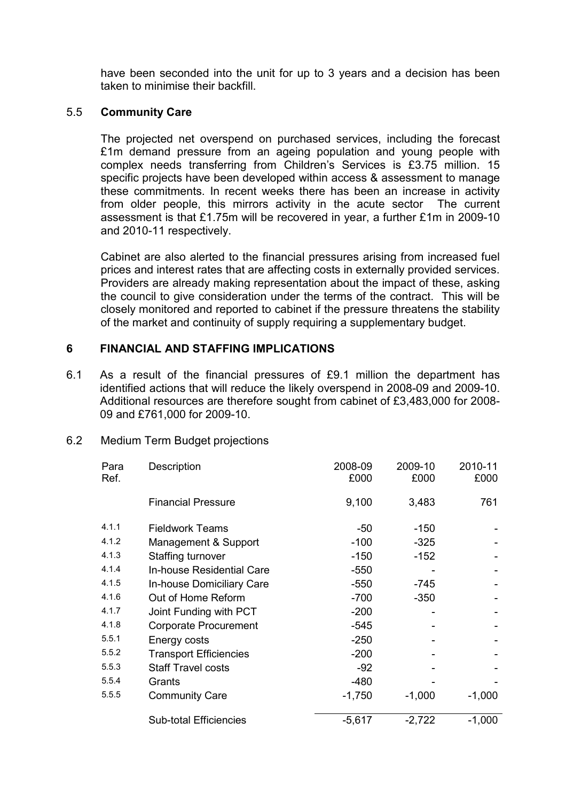have been seconded into the unit for up to 3 years and a decision has been taken to minimise their backfill.

### 5.5 Community Care

The projected net overspend on purchased services, including the forecast £1m demand pressure from an ageing population and young people with complex needs transferring from Children's Services is £3.75 million. 15 specific projects have been developed within access & assessment to manage these commitments. In recent weeks there has been an increase in activity from older people, this mirrors activity in the acute sector The current assessment is that £1.75m will be recovered in year, a further £1m in 2009-10 and 2010-11 respectively.

Cabinet are also alerted to the financial pressures arising from increased fuel prices and interest rates that are affecting costs in externally provided services. Providers are already making representation about the impact of these, asking the council to give consideration under the terms of the contract. This will be closely monitored and reported to cabinet if the pressure threatens the stability of the market and continuity of supply requiring a supplementary budget.

### 6 FINANCIAL AND STAFFING IMPLICATIONS

6.1 As a result of the financial pressures of £9.1 million the department has identified actions that will reduce the likely overspend in 2008-09 and 2009-10. Additional resources are therefore sought from cabinet of £3,483,000 for 2008- 09 and £761,000 for 2009-10.

| Para<br>Ref. | Description                   | 2008-09<br>£000 | 2009-10<br>£000 | 2010-11<br>£000 |
|--------------|-------------------------------|-----------------|-----------------|-----------------|
|              | <b>Financial Pressure</b>     | 9,100           | 3,483           | 761             |
| 4.1.1        | <b>Fieldwork Teams</b>        | $-50$           | $-150$          |                 |
| 4.1.2        | Management & Support          | $-100$          | $-325$          |                 |
| 4.1.3        | Staffing turnover             | $-150$          | $-152$          |                 |
| 4.1.4        | In-house Residential Care     | $-550$          |                 |                 |
| 4.1.5        | In-house Domiciliary Care     | $-550$          | $-745$          |                 |
| 4.1.6        | Out of Home Reform            | $-700$          | $-350$          |                 |
| 4.1.7        | Joint Funding with PCT        | $-200$          |                 |                 |
| 4.1.8        | <b>Corporate Procurement</b>  | $-545$          |                 |                 |
| 5.5.1        | Energy costs                  | $-250$          |                 |                 |
| 5.5.2        | <b>Transport Efficiencies</b> | $-200$          |                 |                 |
| 5.5.3        | <b>Staff Travel costs</b>     | $-92$           |                 |                 |
| 5.5.4        | Grants                        | $-480$          |                 |                 |
| 5.5.5        | <b>Community Care</b>         | $-1,750$        | $-1,000$        | $-1,000$        |
|              | <b>Sub-total Efficiencies</b> | $-5,617$        | $-2,722$        | $-1,000$        |

6.2 Medium Term Budget projections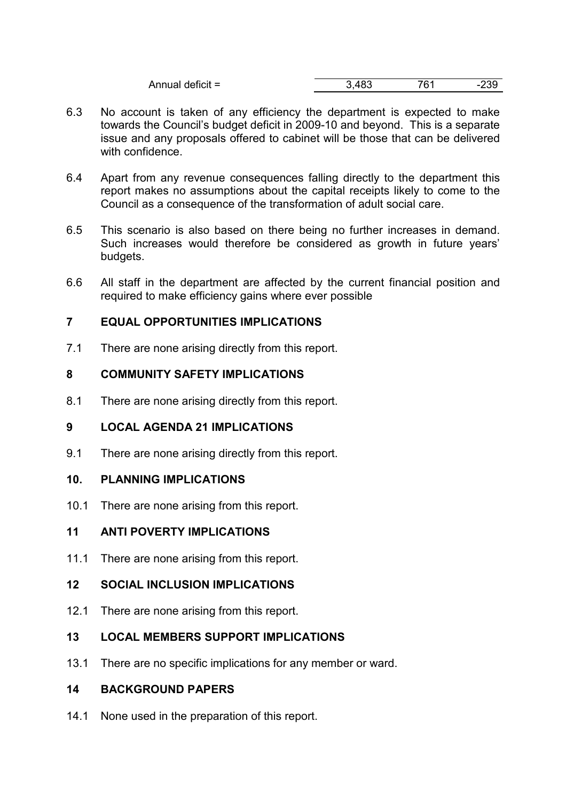| Annual deficit = | Uw | 761<br>ີ | -55 |
|------------------|----|----------|-----|
|                  |    |          |     |

- 6.3 No account is taken of any efficiency the department is expected to make towards the Council's budget deficit in 2009-10 and beyond. This is a separate issue and any proposals offered to cabinet will be those that can be delivered with confidence.
- 6.4 Apart from any revenue consequences falling directly to the department this report makes no assumptions about the capital receipts likely to come to the Council as a consequence of the transformation of adult social care.
- 6.5 This scenario is also based on there being no further increases in demand. Such increases would therefore be considered as growth in future years' budgets.
- 6.6 All staff in the department are affected by the current financial position and required to make efficiency gains where ever possible

## 7 EQUAL OPPORTUNITIES IMPLICATIONS

7.1 There are none arising directly from this report.

## 8 COMMUNITY SAFETY IMPLICATIONS

8.1 There are none arising directly from this report.

### 9 LOCAL AGENDA 21 IMPLICATIONS

9.1 There are none arising directly from this report.

### 10. PLANNING IMPLICATIONS

10.1 There are none arising from this report.

# 11 ANTI POVERTY IMPLICATIONS

11.1 There are none arising from this report.

### 12 SOCIAL INCLUSION IMPLICATIONS

12.1 There are none arising from this report.

# 13 LOCAL MEMBERS SUPPORT IMPLICATIONS

13.1 There are no specific implications for any member or ward.

# 14 BACKGROUND PAPERS

14.1 None used in the preparation of this report.